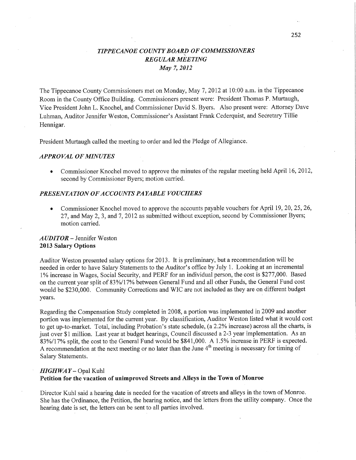# *TIPPECANOE COUNTY BOAR!)* OF *COMMISSIONERS REGULAR MEETING*  May 7, *2012*

The Tippecanoe County Commissioners met on Monday, May 7, 2012 at 10:00 am. in the Tippecanoe Room in the County **Office** Building. Commissioners present were: President Thomas P. Murtaugh, Vice President John L. Knochel, and Commissioner David S. Byers. Also presen<sup>t</sup>were: Attorney Dave Luhman, Auditor Jennifer Weston, Commissioner's Assistant Frank Cederquist, and Secretary Tillie Hennigar.

President Murtaugh called the meeting to order and led the Pledge of Allegiance.

#### *APPROVAL* OF *MINUTES*

**0** Commissioner Knochel moved to approve the minutes of the regular **meeting** held April 16, 2012, second by Commissioner Byers; motion carried.

#### *PRESENTATION* OF *ACCOUNT S PAYABLE VOUCHERS*

Commissioner Knochel moved to approve the accounts payable vouchers for April 19, 20, 25, 26, 27, and May 2, 3, and 7, 2012 as submitted without exception, second by Commissioner Byers; motion carried.

## *AUDITOR* — Jennifer Weston **2013 Salary Options**

Auditor Weston presented salary options for 2013. It is preliminary, but a recommendation will be needed in order to have Salary Statements to the Auditor's office by July 1. Looking at an incremental 1% increase in Wages, Social Security, and PERF for an individual person, the cost is \$277,000. Based on the current year split of 83%/ 17% between General Fund and all other Funds, the General Fund cost would be \$230,000. Community **Corrections** and W1C are not included as they are on different budget years.

Regarding the Compensation Study completed in 2008, a portion was implemented in 2009 and another portion was implemented for the current year. By classification, Auditor Weston listed what it would cost to get up-to-market. Total, including Probation's state schedule, (a 2.2% increase) across all the charts, is just over \$1 million. Last year at budget hearings, Council discussed a 2-3 year implementation. As an 83%/17% split, the cost to the General Fund would be \$841,000. **A** 1.5% increase in PERF is expected. A recommendation at the next meeting or no later than the June  $4<sup>th</sup>$  meeting is necessary for timing of Salary Statements.

## *HIGHWAY —* Opal Kuhl

#### Petition for the **vacation** of **unimproved Streets** and **Alleys** in the **ToWn** of **Monroe**

Director Kuhl said a hearing date is needed for the vacation of streets and alleys in the town of Monroe. She has the Ordinance, the **Petition,** the hearing notice, and the letters from the utility company. Once the hearing date is set, the letters can be sent to all parties involved.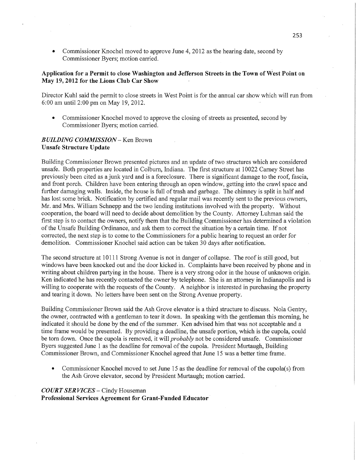*.* Commissioner Knochel moved to approve June 4, 2012 as the hearing date, second by Commissioner Byers; motion carried.

## Application for **a Permit** to close Washington and Jefferson **Streets** in the **Town** of **West Point** on May **19,2012** for the Lions Club Car **Show** ~

Director Kuhl said the permit to close streets in West Point 1s for the annual car show which will run from 6:00 am until 2:00 pm on May 19,2012.

**0** Commissioner Knochel moved to approve the closing of streets as presented, second by Commissioner Byers; motion carried.

#### *B UILDING COMMISSION—* Ken Brown **Unsafe Structure Update**

Building Commissioner Brown presented pictures and an update of two structures which are considered unsafe. Both properties are located in Colburn, Indiana. The first structure at 10022 Carney Street has previously been cited as a junk yard and is a foreclosure. There is significant damage to the roof, fascia, and front porch. Children have been entering through an open window, getting into the crawl space and further damaging walls. Inside, the house is full of trash and garbage. The chimney is split in half and has lost some brick. Notification by certified and regular **mail** was recently sent to the previous owners, Mr. and Mrs. William Schnepp and the two lending institutions involved with the property. Without cooperation, the board will need to decide about demolition by the County. Attorney Luhman said the first step is to contact the owners, notify them that the Building Commissioner has determined a violation of the Unsafe Building Ordinance, and ask them to correct the situation by a certain time. If not corrected, the next step is to come to the Commissioners for a public hearing to request an order for demolition. Commissioner Knochel said action can be taken 30 days after notification.

The second structure at 10111 Strong Avenue is not in danger of collapse. The **roof** is still good, but windows have been knocked out and the door kicked in. Complaints have been received by phone and in writing about children partying in the house. There is a very strong odor in the house of unknown origin. Ken indicated he has recently contacted the owner by telephone. She is an attorney in Indianapolis and is willing to cooperate with the requests of the County. A neighbor is interested in purchasing the property and tearing it down. No letters have been sent on the Strong Avenue property.

Building Commissioner Brown said the Ash Grove elevator is a third structure to discuss. Nola Gentry, the owner, contracted with a gentleman to tear it down. In speaking with the gentleman this morning, he indicated it should be done by the end of the summer. Ken advised him that was not acceptable and <sup>a</sup> time frame would be presented. By providing **a** deadline, the unsafe portion, which is the cupola, could be tom down. Once the cupola is removed, it will *probably* not be considered unsafe. Commissioner Byers suggested June 1 as the deadline for removal of the cupola. President Murtaugh, Building Commissioner Brown, and Commissioner Knochel agreed that June 15 was a better time frame.

**0** Commissioner Knochel moved to set June 15 as the deadline for removal of the cupola(s) from the Ash Grove elevator, second by President Murtaugh; motion carried.

## *COURT* SER *VICES* **—** Cindy Houseman **Professional Services Agreement** for **Grant-Funded Educator—**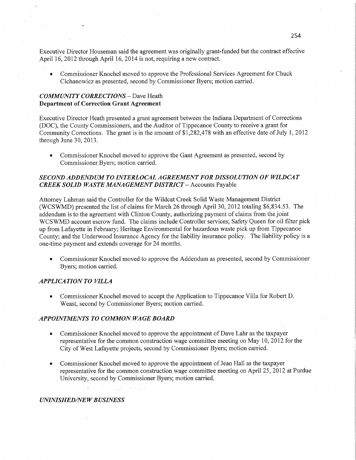Executive Director Houseman said the agreement was originally grant-funded but the contract effective April 16, 2012 through April 16, 2014 is not, requiring a new contract.

• Commissioner Knochel moved to approve the Professional Services Agreement for Chuck Cichanowicz as presented, second by Commissioner Byers; motion carried.

# *COMMUNITY CORRECTIONS —* Dave Heath **Department** of **Correction Grant Agreement**

Executive Director Heath presented a grant agreement between the Indiana Department of Corrections (DOC), the County Commissioners, and the Auditor of Tippecanoe County to receive a grant for Community Corrections. The grant is in the amount of \$12 82,478 with an effective date of July 1, 2012 through June 30, 2013.

• Commissioner Knochel moved to approve the Gant Agreement as presented, second by Commissioner Byers; motion carried.

## *SECOND ADDEND* UM TO IN *TERLOCAL A GREEMEN T* FOR *DISSOL U* TI 0N 0F *WILDCA T CREEK SOLID WASTE MANA GEMENT DISTRICT* **—** Accounts Payable

Attorney Luhman said the Controller for the Wildcat Creek Solid Waste Management District (WCSWMD) presented the list of claims for March 26 through April 30, 2012 totaling \$6,834.53. The addendum is to the agreement with Clinton County, authorizing payment of claims from the joint WCSWMD account escrow **fund.** The claims include Controller services; Safety Queen for oil filter pick up from Lafayette in February; Heritage Environmental for hazardous waste pick up from Tippecanoe County; and the Underwood Insurance Agency for the liability insurance policy. The liability policy is <sup>a</sup> one-time payment and extends coverage for 24 months.

**0** Commissioner Knochel moved to approve the Addendum as presented, second by Commissioner Byers; motion carried.

## *APPLICATION TO VILLA*

**0** Commissioner Knochel moved to accept the Application to Tippecanoe Villa for Robert D. Weast, second by Commissioner Byers; motion carried.

## . *APPOINTMENTS* T0 *COMMON* WA GE *BOARD*

- **0** Commissioner Knochel moved to approve the appointment of Dave Lahr as the taxpayer representative for the common construction wage committee meeting on May 10, 2012 for the City of West Lafayette projects, second by Commissioner Byers; motion carried.
- **0** Commissioner Knochel moved to approve the appointment of Jean Hall as the taxpayer representative for the common construction wage committee meeting on April 25, 2012 at Purdue University, second by Commissioner Byers; motion carried.

#### *UNINISHED/NE W B USINESS*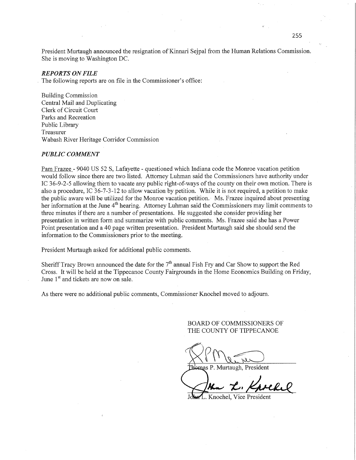President Murtaugh announced the resignation of Kinnari Sejpal from the Human Relations Commission. She is moving to Washington DC.

#### *REPORTS* ON *FILE*

The following reports are on file in the Commissioner's office:

Building Commission Central Mail and Duplicating Clerk of Circuit Court Parks and Recreation Public Library Treasurer Wabash River Heritage Corridor Commission

#### *PUBLIC COMMENT*

Pam Frazee *-* 9040 US 52 S, Lafayette *-* questioned which Indiana code the Monroe vacation petition would follow since there are two listed. Attorney Luhman said the Commissioners have authority under IC 36-9-2-5 allowing them to vacate any public right-of-ways of the county on their own motion. There is also a procedure, IC 36-7-3-12 to allow vacation by petition. While it is not required, a petition to make the public aware will be utilized for the Monroe vacation petition. Ms. Frazee inquired about presenting her information at the June 4<sup>th</sup> hearing. Attorney Luhman said the Commissioners may limit comments to three minutes if there are a number of presentations. He suggested she consider providing her presentation in written form and summarize with public comments. Ms. Frazee said she has a Power Point presentation and a 40 page written presentation. President Murtaugh said she should send the information to the Commissioners prior to the meeting.

President Murtaugh asked for additional public comments.

Sheriff Tracy Brown announced the date for the  $7<sup>th</sup>$  annual Fish Fry and Car Show to support the Red Cross. It will be held at the Tippecanoe County Fairgrounds in the Home Economics Building on Friday, June 1<sup>st</sup> and tickets are now on sale.

As there were no additional public comments, Commissioner Knochel moved to adjourn.

BOARD OF COMMISSIONERS OF THE COUNTY OF TIPPECANOE

Weine Prince

mas P. Murtaugh, President

John L. Knockel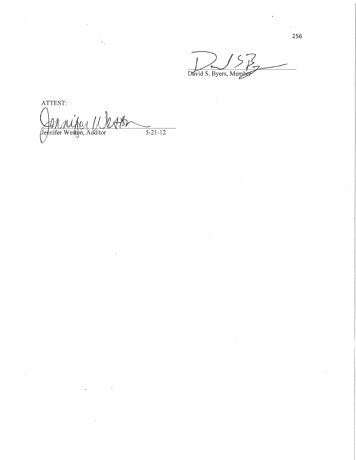ک ک David S. Byers, Member

ATTEST:  $\mathcal{N}_{\mathcal{O}}$  $\overline{11}$  $AB$ Jennifer Weston, Auditor  $\frac{1}{5-21-12}$ 

256